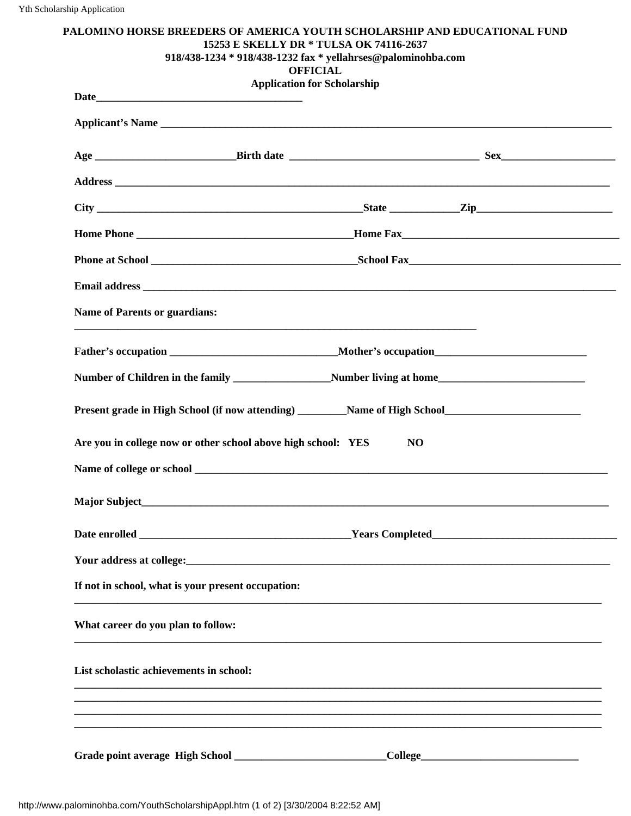| PALOMINO HORSE BREEDERS OF AMERICA YOUTH SCHOLARSHIP AND EDUCATIONAL FUND<br>918/438-1234 * 918/438-1232 fax * yellahrses@palominohba.com                                                                                            | 15253 E SKELLY DR * TULSA OK 74116-2637<br><b>OFFICIAL</b> |  |
|--------------------------------------------------------------------------------------------------------------------------------------------------------------------------------------------------------------------------------------|------------------------------------------------------------|--|
|                                                                                                                                                                                                                                      | <b>Application for Scholarship</b>                         |  |
|                                                                                                                                                                                                                                      |                                                            |  |
| Applicant's Name                                                                                                                                                                                                                     |                                                            |  |
|                                                                                                                                                                                                                                      |                                                            |  |
| Address <b>contract to the contract of the contract of the contract of the contract of the contract of the contract of the contract of the contract of the contract of the contract of the contract of the contract of the contr</b> |                                                            |  |
|                                                                                                                                                                                                                                      |                                                            |  |
|                                                                                                                                                                                                                                      |                                                            |  |
|                                                                                                                                                                                                                                      |                                                            |  |
|                                                                                                                                                                                                                                      |                                                            |  |
| <b>Name of Parents or guardians:</b>                                                                                                                                                                                                 |                                                            |  |
|                                                                                                                                                                                                                                      |                                                            |  |
|                                                                                                                                                                                                                                      |                                                            |  |
| Present grade in High School (if now attending) Name of High School                                                                                                                                                                  |                                                            |  |
| Are you in college now or other school above high school: YES                                                                                                                                                                        | N <sub>O</sub>                                             |  |
|                                                                                                                                                                                                                                      |                                                            |  |
|                                                                                                                                                                                                                                      |                                                            |  |
|                                                                                                                                                                                                                                      |                                                            |  |
|                                                                                                                                                                                                                                      |                                                            |  |
| If not in school, what is your present occupation:                                                                                                                                                                                   |                                                            |  |
| What career do you plan to follow:                                                                                                                                                                                                   |                                                            |  |
| List scholastic achievements in school:                                                                                                                                                                                              |                                                            |  |
|                                                                                                                                                                                                                                      |                                                            |  |
|                                                                                                                                                                                                                                      |                                                            |  |